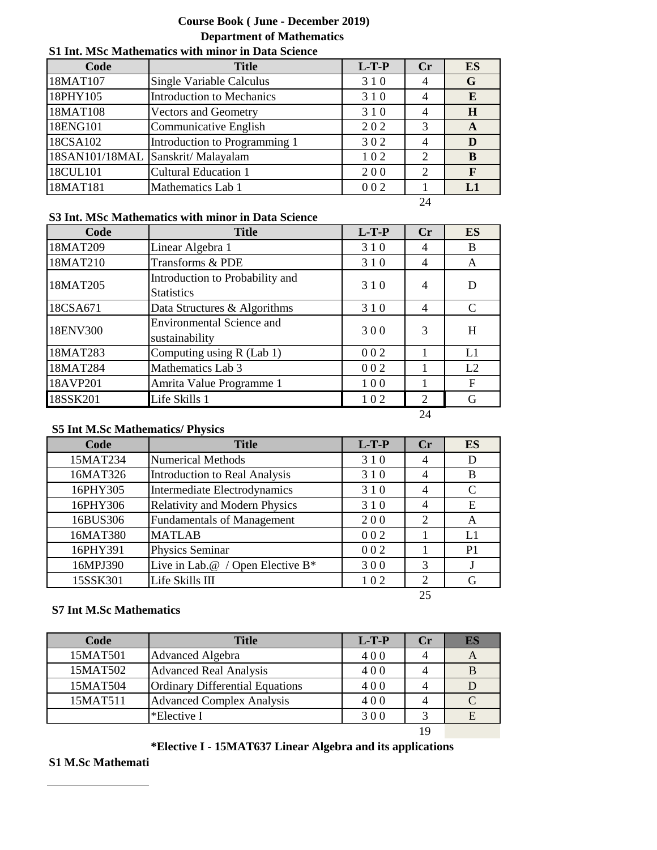# **Course Book ( June - December 2019) Department of Mathematics**

# **Code Title L-T-P Cr ES** 18MAT107 Single Variable Calculus 18MAT107 Single Variable Calculus 3 1 0 4 G 18PHY105 Introduction to Mechanics 3 1 0 4 **E** 18MAT108 Vectors and Geometry 1310 4 **H** 18ENG101 Communicative English 202 3 A 18CSA102 Introduction to Programming 1 3 0 2 4 D 18SAN101/18MAL Sanskrit/ Malayalam 1 0 2 **B** 18CUL101 Cultural Education 1 2 0 0 2 **F** 18MAT181 Mathematics Lab 1 0 0 2 1 L1

#### **S1 Int. MSc Mathematics with minor in Data Science**

24

### **S3 Int. MSc Mathematics with minor in Data Science**

| Code     | <b>Title</b>                                         | $L-T-P$ | Cr             | ES            |
|----------|------------------------------------------------------|---------|----------------|---------------|
| 18MAT209 | Linear Algebra 1                                     | 310     | 4              | B             |
| 18MAT210 | Transforms & PDE                                     | 310     | 4              | A             |
| 18MAT205 | Introduction to Probability and<br><b>Statistics</b> | 310     | 4              | D             |
| 18CSA671 | Data Structures & Algorithms                         | 310     | 4              | $\mathcal{C}$ |
| 18ENV300 | <b>Environmental Science and</b><br>sustainability   | 300     | 3              | H             |
| 18MAT283 | Computing using R (Lab 1)                            | 002     |                | L1            |
| 18MAT284 | Mathematics Lab 3                                    | 002     |                | L2            |
| 18AVP201 | Amrita Value Programme 1                             | 100     |                | F             |
| 18SSK201 | Life Skills 1                                        | 102     | $\mathfrak{D}$ | G             |

24

### **S5 Int M.Sc Mathematics/ Physics**

| Code     | <b>Title</b>                         | $L-T-P$ | $C_{r}$                     | <b>ES</b>      |
|----------|--------------------------------------|---------|-----------------------------|----------------|
| 15MAT234 | <b>Numerical Methods</b>             | 310     | 4                           | D              |
| 16MAT326 | Introduction to Real Analysis        | 310     | 4                           | B              |
| 16PHY305 | Intermediate Electrodynamics         | 310     | 4                           | C              |
| 16PHY306 | <b>Relativity and Modern Physics</b> | 310     | 4                           | Ε              |
| 16BUS306 | <b>Fundamentals of Management</b>    | 200     | $\mathcal{D}_{\mathcal{L}}$ | A              |
| 16MAT380 | <b>MATLAB</b>                        | 002     |                             | L1             |
| 16PHY391 | Physics Seminar                      | 002     |                             | P <sub>1</sub> |
| 16MPJ390 | Live in Lab.@ / Open Elective B*     | 300     | 3                           |                |
| 15SSK301 | Life Skills III                      | 102     | $\overline{2}$              | G              |
|          |                                      |         | 25                          |                |

#### **S7 Int M.Sc Mathematics**

| Code     | <b>Title</b>                           | $L-T-P$ | Cr | ES       |
|----------|----------------------------------------|---------|----|----------|
| 15MAT501 | <b>Advanced Algebra</b>                | 400     | 4  | A        |
| 15MAT502 | <b>Advanced Real Analysis</b>          | 400     |    |          |
| 15MAT504 | <b>Ordinary Differential Equations</b> | 400     |    |          |
| 15MAT511 | <b>Advanced Complex Analysis</b>       | 400     |    | $\Gamma$ |
|          | *Elective I                            | 300     | 2  | E        |
|          |                                        |         | 19 |          |

### **\*Elective I - 15MAT637 Linear Algebra and its applications**

#### **S1 M.Sc Mathemati**